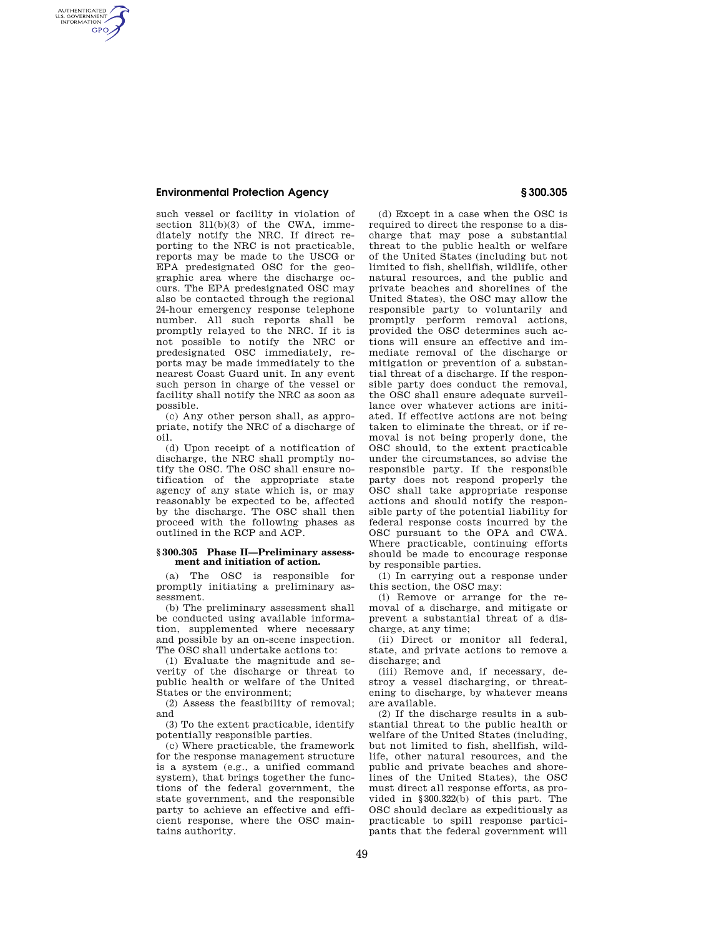## **Environmental Protection Agency § 300.305**

AUTHENTICATED<br>U.S. GOVERNMENT<br>INFORMATION **GPO** 

> such vessel or facility in violation of section 311(b)(3) of the CWA, immediately notify the NRC. If direct reporting to the NRC is not practicable, reports may be made to the USCG or EPA predesignated OSC for the geographic area where the discharge occurs. The EPA predesignated OSC may also be contacted through the regional 24-hour emergency response telephone number. All such reports shall be promptly relayed to the NRC. If it is not possible to notify the NRC or predesignated OSC immediately, reports may be made immediately to the nearest Coast Guard unit. In any event such person in charge of the vessel or facility shall notify the NRC as soon as possible.

(c) Any other person shall, as appropriate, notify the NRC of a discharge of oil.

(d) Upon receipt of a notification of discharge, the NRC shall promptly notify the OSC. The OSC shall ensure notification of the appropriate state agency of any state which is, or may reasonably be expected to be, affected by the discharge. The OSC shall then proceed with the following phases as outlined in the RCP and ACP.

## **§ 300.305 Phase II—Preliminary assessment and initiation of action.**

(a) The OSC is responsible for promptly initiating a preliminary assessment.

(b) The preliminary assessment shall be conducted using available information, supplemented where necessary and possible by an on-scene inspection. The OSC shall undertake actions to:

(1) Evaluate the magnitude and severity of the discharge or threat to public health or welfare of the United States or the environment;

(2) Assess the feasibility of removal; and

(3) To the extent practicable, identify potentially responsible parties.

(c) Where practicable, the framework for the response management structure is a system (e.g., a unified command system), that brings together the functions of the federal government, the state government, and the responsible party to achieve an effective and efficient response, where the OSC maintains authority.

(d) Except in a case when the OSC is required to direct the response to a discharge that may pose a substantial threat to the public health or welfare of the United States (including but not limited to fish, shellfish, wildlife, other natural resources, and the public and private beaches and shorelines of the United States), the OSC may allow the responsible party to voluntarily and promptly perform removal actions, provided the OSC determines such actions will ensure an effective and immediate removal of the discharge or mitigation or prevention of a substantial threat of a discharge. If the responsible party does conduct the removal, the OSC shall ensure adequate surveillance over whatever actions are initiated. If effective actions are not being taken to eliminate the threat, or if removal is not being properly done, the OSC should, to the extent practicable under the circumstances, so advise the responsible party. If the responsible party does not respond properly the OSC shall take appropriate response actions and should notify the responsible party of the potential liability for federal response costs incurred by the OSC pursuant to the OPA and CWA. Where practicable, continuing efforts should be made to encourage response by responsible parties.

(1) In carrying out a response under this section, the OSC may:

(i) Remove or arrange for the removal of a discharge, and mitigate or prevent a substantial threat of a discharge, at any time;

(ii) Direct or monitor all federal, state, and private actions to remove a discharge; and

(iii) Remove and, if necessary, destroy a vessel discharging, or threatening to discharge, by whatever means are available.

(2) If the discharge results in a substantial threat to the public health or welfare of the United States (including, but not limited to fish, shellfish, wildlife, other natural resources, and the public and private beaches and shorelines of the United States), the OSC must direct all response efforts, as provided in §300.322(b) of this part. The OSC should declare as expeditiously as practicable to spill response participants that the federal government will